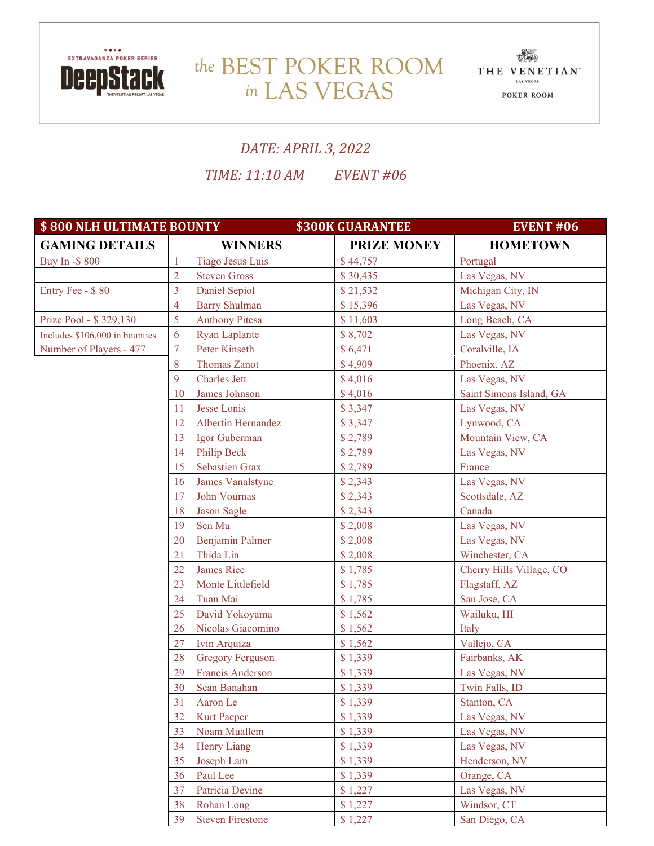

## the BEST POKER ROOM THE VENETIAN in LAS VEGAS



## *DATE: APRIL 3, 2022 TIME: 11:10 AM EVENT #06*

**\$800 NLH ULTIMATE BOUNTY 5300K GUARANTEE FOR A BULLET HOME EVENT #06 GAMING DETAILS WINNERS PRIZE MONEY HOMETOWN** Buy In -\$ 800 1 Tiago Jesus Luis \$ 44,757 Portugal 2 Steven Gross \$ 30,435 Las Vegas, NV Entry Fee - \$ 80 3 Daniel Sepiol \$ 21,532 Michigan City, IN 4 Barry Shulman \$ 15,396 Las Vegas, NV Prize Pool -  $$ 329,130$   $\qquad \qquad$  5 Anthony Pitesa  $\qquad \qquad$  \$ 11,603 Long Beach, CA Includes \$106,000 in bounties 6 Ryan Laplante \$ 8,702 Las Vegas, NV Number of Players - 477 7 Peter Kinseth \$ 6,471 Coralyille, IA 8 Thomas Zanot \$ 4,909 Phoenix, AZ 9 Charles Jett  $\$4.016$  Las Vegas, NV 10 James Johnson \$ 4,016 Saint Simons Island, GA 11 Jesse Lonis \$ 3,347 Las Vegas, NV 12 Albertin Hernandez \$ 3,347 Lynwood, CA 13 Igor Guberman \$ 2,789 Mountain View, CA 14 Philip Beck \$ 2,789 Las Vegas, NV 15 Sebastien Grax \$ 2,789 France 16 James Vanalstyne \$ 2,343 Las Vegas, NV 17 John Vournas  $\begin{array}{c|c} 18,2.343 \end{array}$  Scottsdale, AZ 18 Jason Sagle \$ 2,343 Canada 19 Sen Mu \$ 2,008 Las Vegas, NV 20 Benjamin Palmer \$ 2,008 Las Vegas, NV 21 Thida Lin \$ 2,008 Winchester, CA 22 James Rice \$ 1,785 Cherry Hills Village, CO 23 Monte Littlefield \$ 1,785 Flagstaff, AZ 24 Tuan Mai \$ 1,785 San Jose, CA 25 David Yokoyama \$ 1,562 Wailuku, HI 26 Nicolas Giacomino \$ 1,562 Italy 27 | Ivin Arquiza | \$ 1,562 | Vallejo, CA 28 Gregory Ferguson \$ 1,339 Fairbanks, AK 29 Francis Anderson \$ 1,339 Las Vegas, NV 30 Sean Banahan \$ 1,339 Twin Falls, ID 31 Aaron Le \$ 1,339 Stanton, CA 32 | Kurt Paeper | \$ 1,339 | Las Vegas, NV 33 Noam Muallem \$ 1,339 Las Vegas, NV  $34$  Henry Liang  $\begin{array}{|c|c|c|c|c|} \hline 31,339 & \text{Las Vegas, NV} \hline \end{array}$ 35 Joseph Lam  $\begin{array}{|c|c|c|c|c|} \hline 35 & Joseph Lam & \hline \end{array}$  Henderson, NV 36 Paul Lee \$ 1,339 Orange, CA 37 Patricia Devine \$ 1,227 Las Vegas, NV 38 Rohan Long \$ 1,227 Windsor, CT 39 Steven Firestone \$ 1,227 San Diego, CA